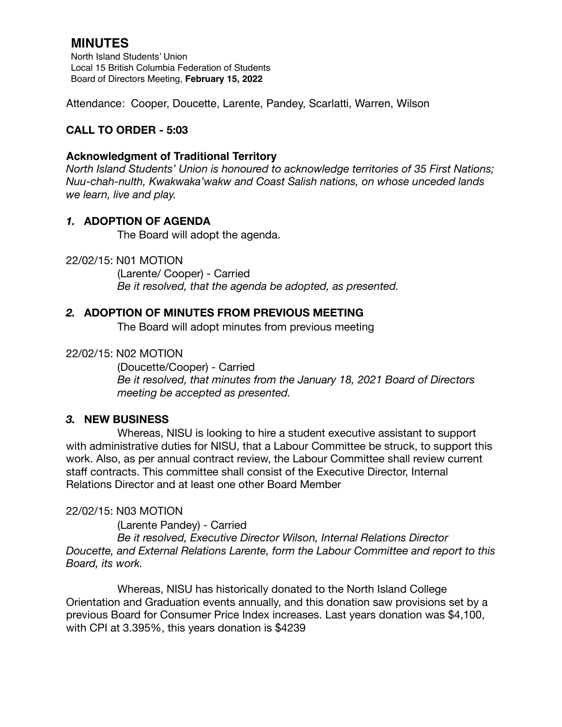# **MINUTES**

North Island Students' Union Local 15 British Columbia Federation of Students Board of Directors Meeting, **February 15, 2022**

Attendance: Cooper, Doucette, Larente, Pandey, Scarlatti, Warren, Wilson

## **CALL TO ORDER - 5:03**

### **Acknowledgment of Traditional Territory**

*North Island Students' Union is honoured to acknowledge territories of 35 First Nations; Nuu-chah-nulth, Kwakwaka'wakw and Coast Salish nations, on whose unceded lands we learn, live and play.*

## *1.* **ADOPTION OF AGENDA**

The Board will adopt the agenda.

22/02/15: N01 MOTION

 (Larente/ Cooper) - Carried *Be it resolved, that the agenda be adopted, as presented.* 

## *2.* **ADOPTION OF MINUTES FROM PREVIOUS MEETING**

The Board will adopt minutes from previous meeting

#### 22/02/15: N02 MOTION

(Doucette/Cooper) - Carried *Be it resolved, that minutes from the January 18, 2021 Board of Directors meeting be accepted as presented.* 

#### *3.* **NEW BUSINESS**

Whereas, NISU is looking to hire a student executive assistant to support with administrative duties for NISU, that a Labour Committee be struck, to support this work. Also, as per annual contract review, the Labour Committee shall review current staff contracts. This committee shall consist of the Executive Director, Internal Relations Director and at least one other Board Member

#### 22/02/15: N03 MOTION

(Larente Pandey) - Carried

 *Be it resolved, Executive Director Wilson, Internal Relations Director Doucette, and External Relations Larente, form the Labour Committee and report to this Board, its work.*

 Whereas, NISU has historically donated to the North Island College Orientation and Graduation events annually, and this donation saw provisions set by a previous Board for Consumer Price Index increases. Last years donation was \$4,100, with CPI at 3.395%, this years donation is \$4239